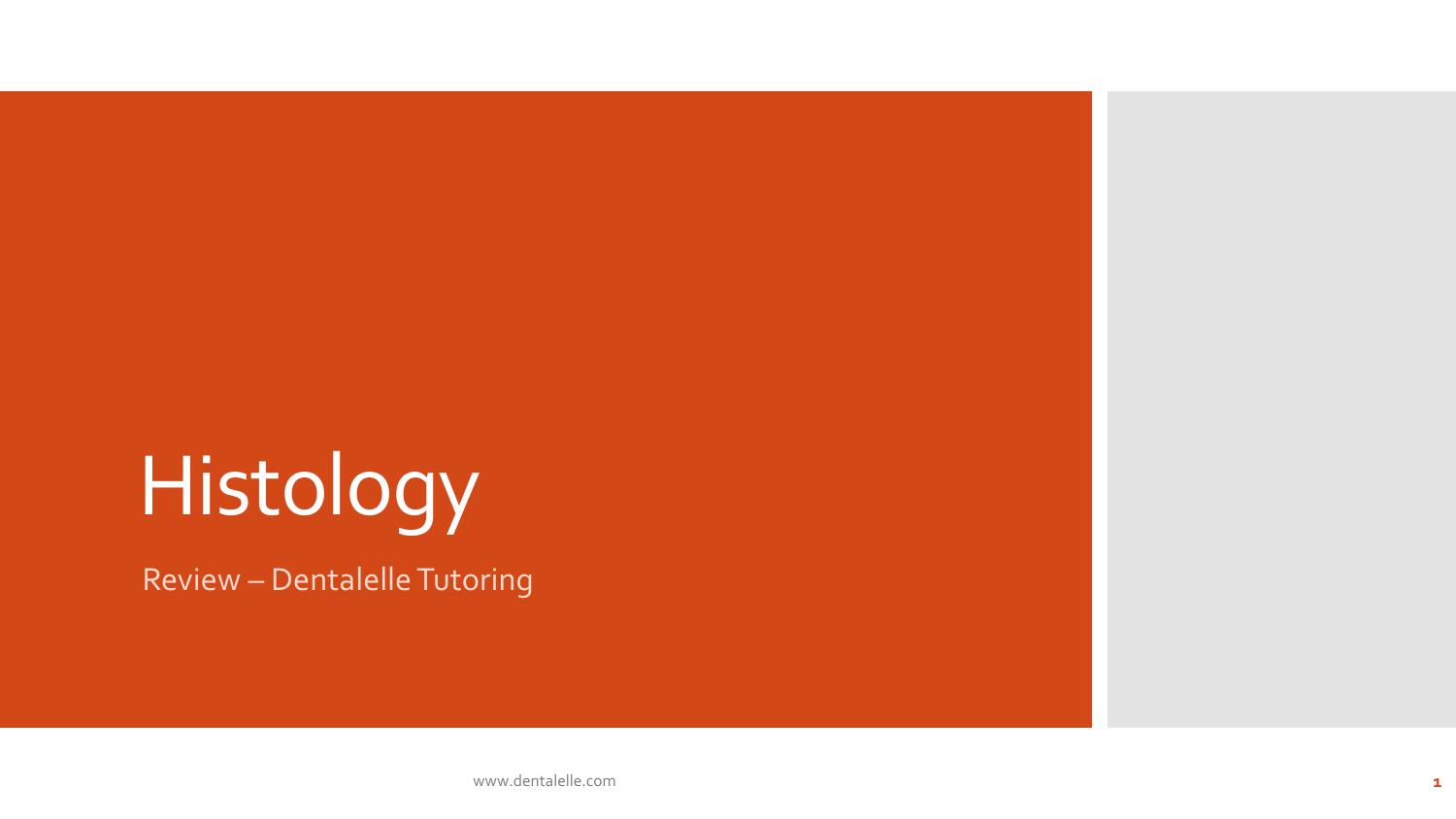# Histology

Review – Dentalelle Tutoring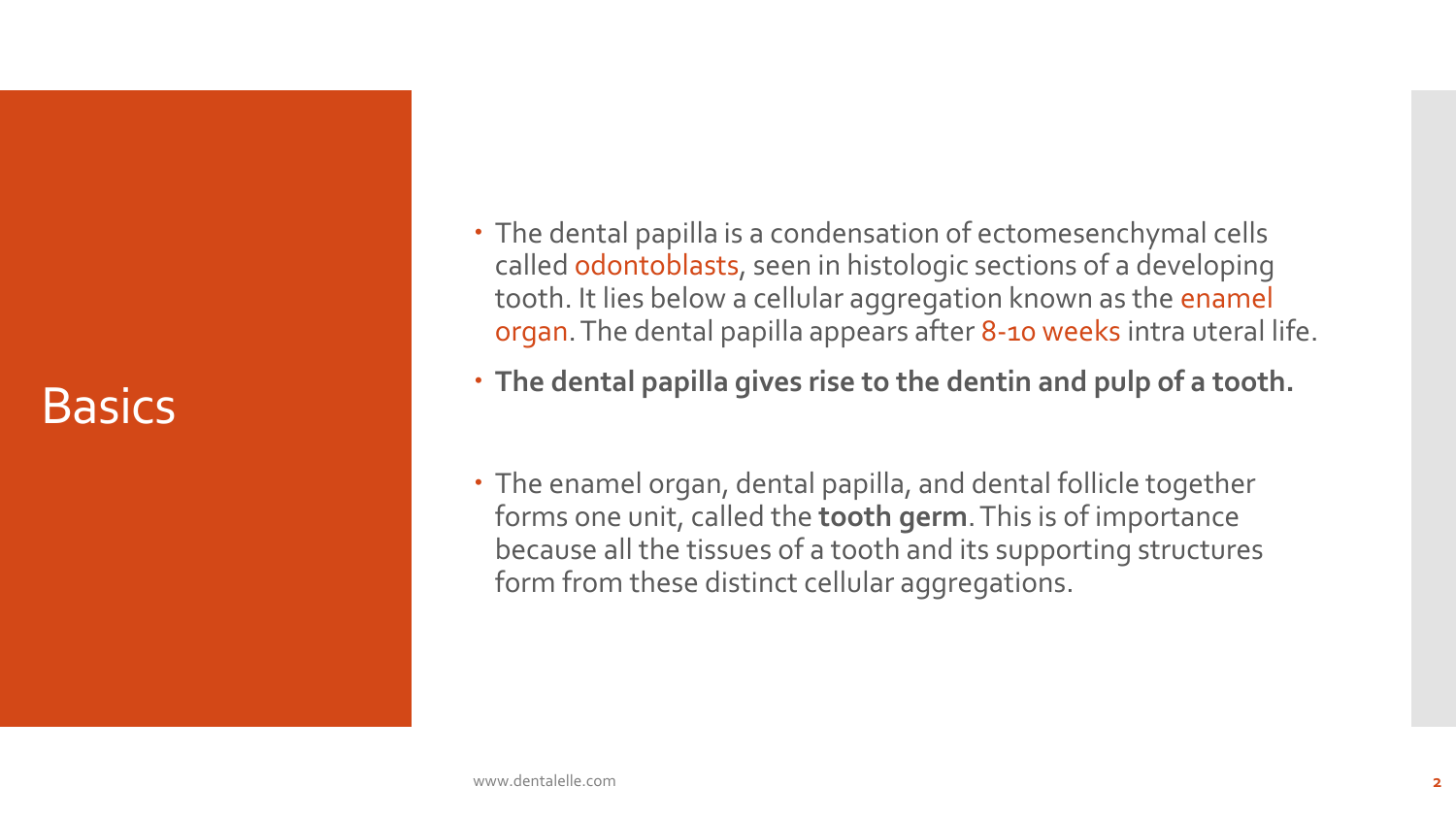#### **Basics**

- The dental papilla is a condensation of ectomesenchymal cells called odontoblasts, seen in histologic sections of a developing tooth. It lies below a cellular aggregation known as the enamel organ. The dental papilla appears after 8-10 weeks intra uteral life.
- **The dental papilla gives rise to the dentin and pulp of a tooth.**
- The enamel organ, dental papilla, and dental follicle together forms one unit, called the **tooth germ**. This is of importance because all the tissues of a tooth and its supporting structures form from these distinct cellular aggregations.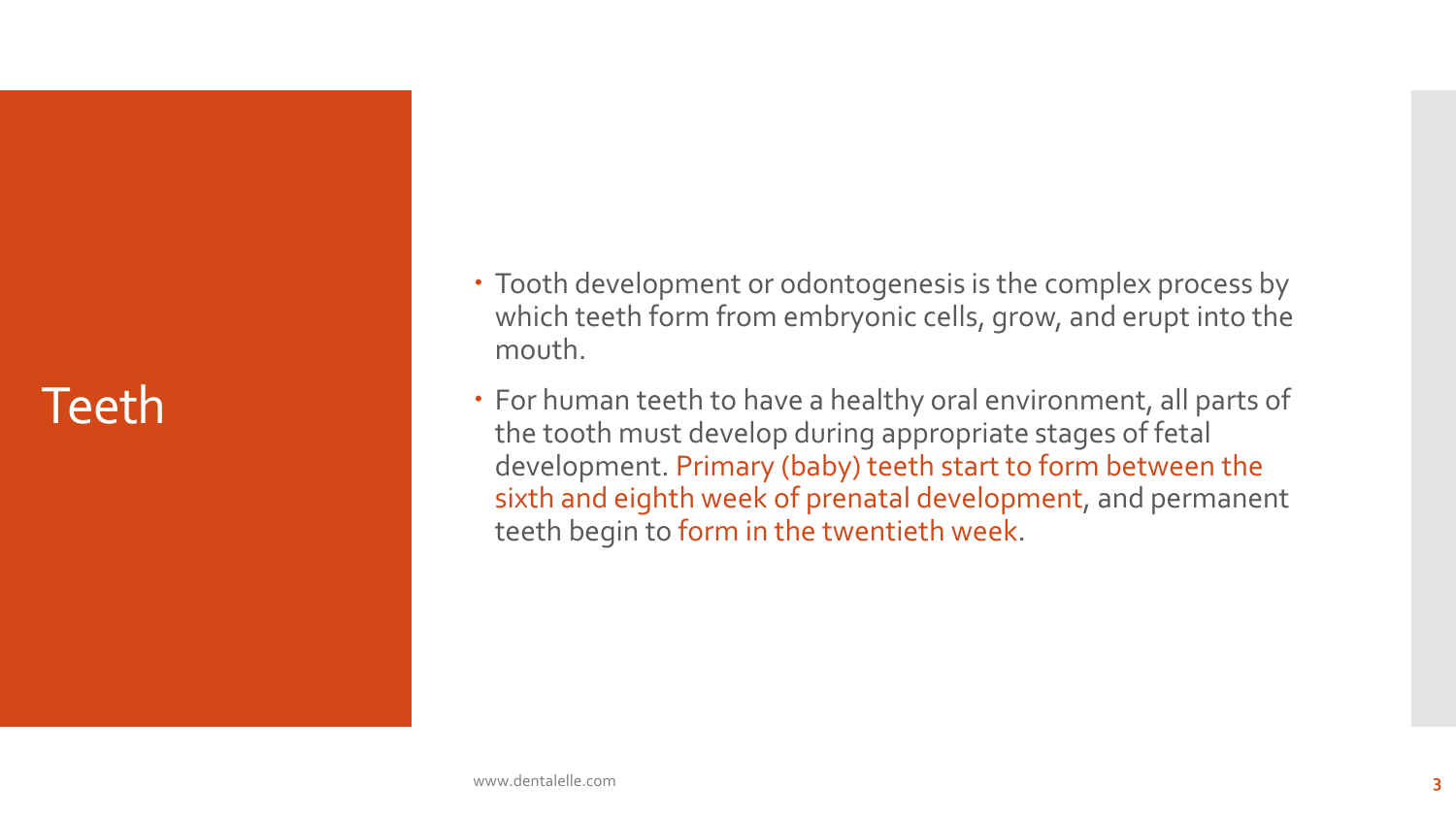## Teeth

- Tooth development or odontogenesis is the complex process by which teeth form from embryonic cells, grow, and erupt into the mouth.
- For human teeth to have a healthy oral environment, all parts of the tooth must develop during appropriate stages of fetal development. Primary (baby) teeth start to form between the sixth and eighth week of prenatal development, and permanent teeth begin to form in the twentieth week.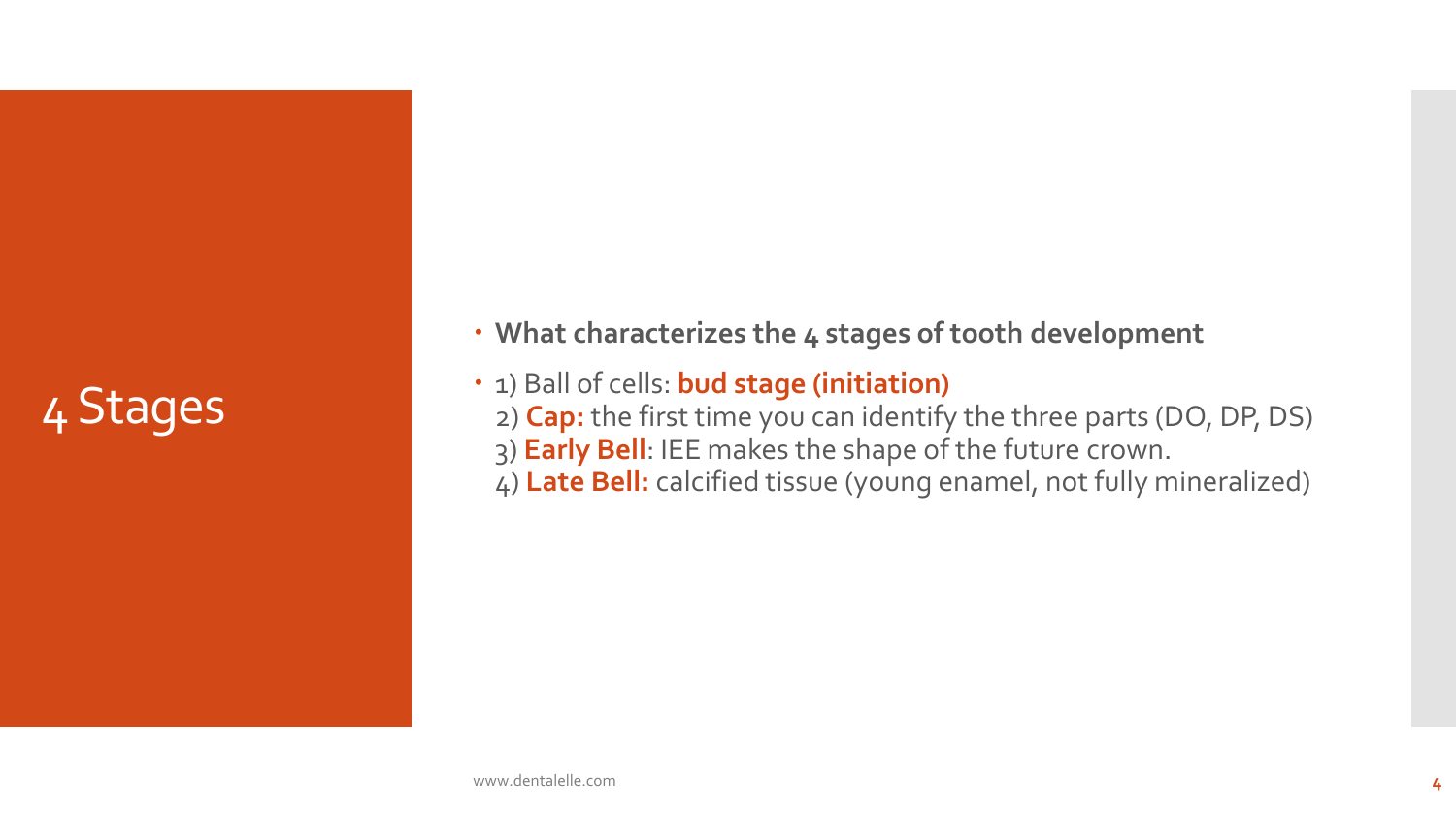# 4 Stages

**What characterizes the 4 stages of tooth development**

- $\cdot$  1) Ball of cells: **bud stage (initiation)** 
	- 2) **Cap:** the first time you can identify the three parts (DO, DP, DS)
	- 3) **Early Bell**: IEE makes the shape of the future crown.
	- 4) **Late Bell:** calcified tissue (young enamel, not fully mineralized)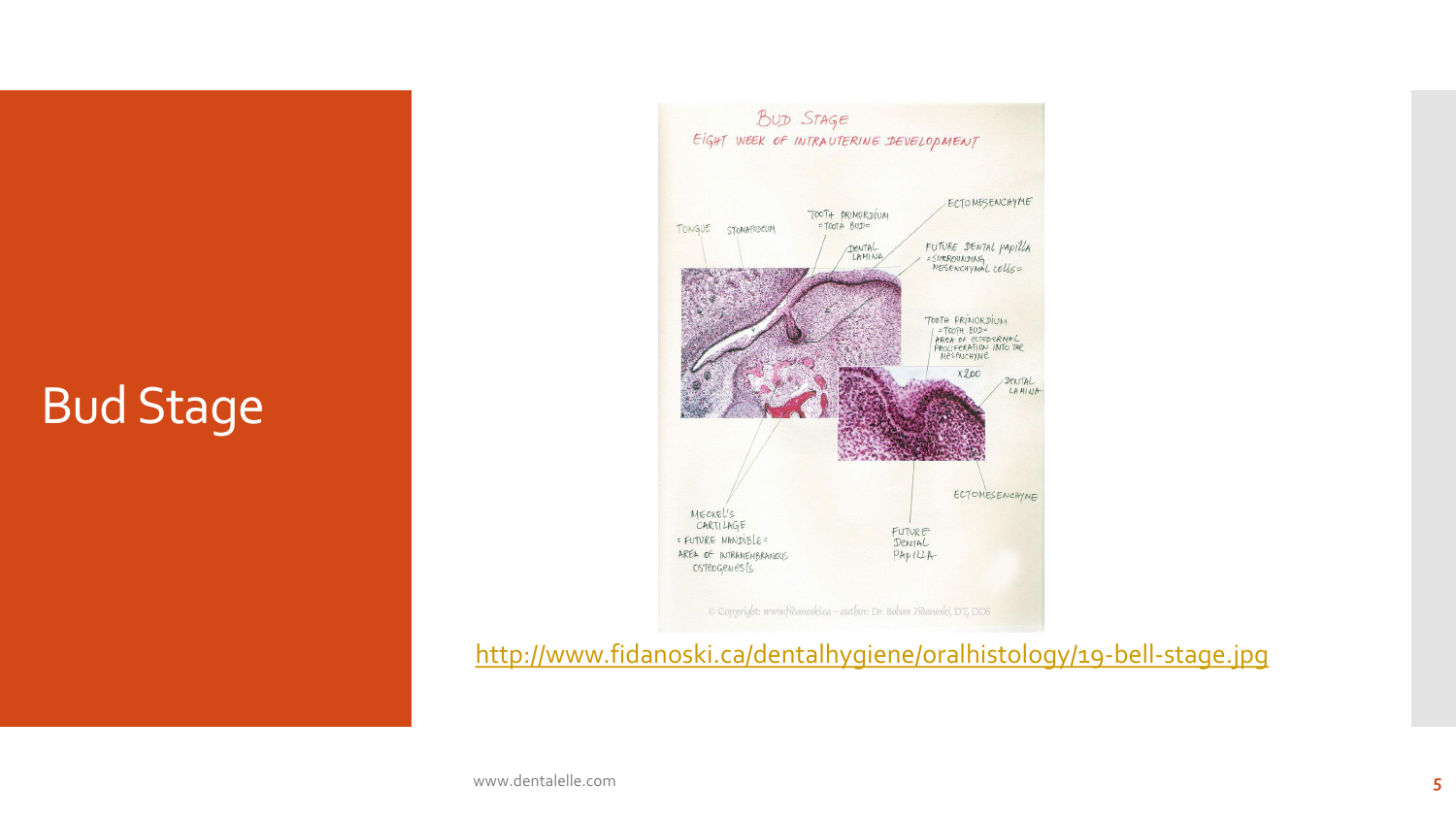# Bud Stage



<http://www.fidanoski.ca/dentalhygiene/oralhistology/19-bell-stage.jpg>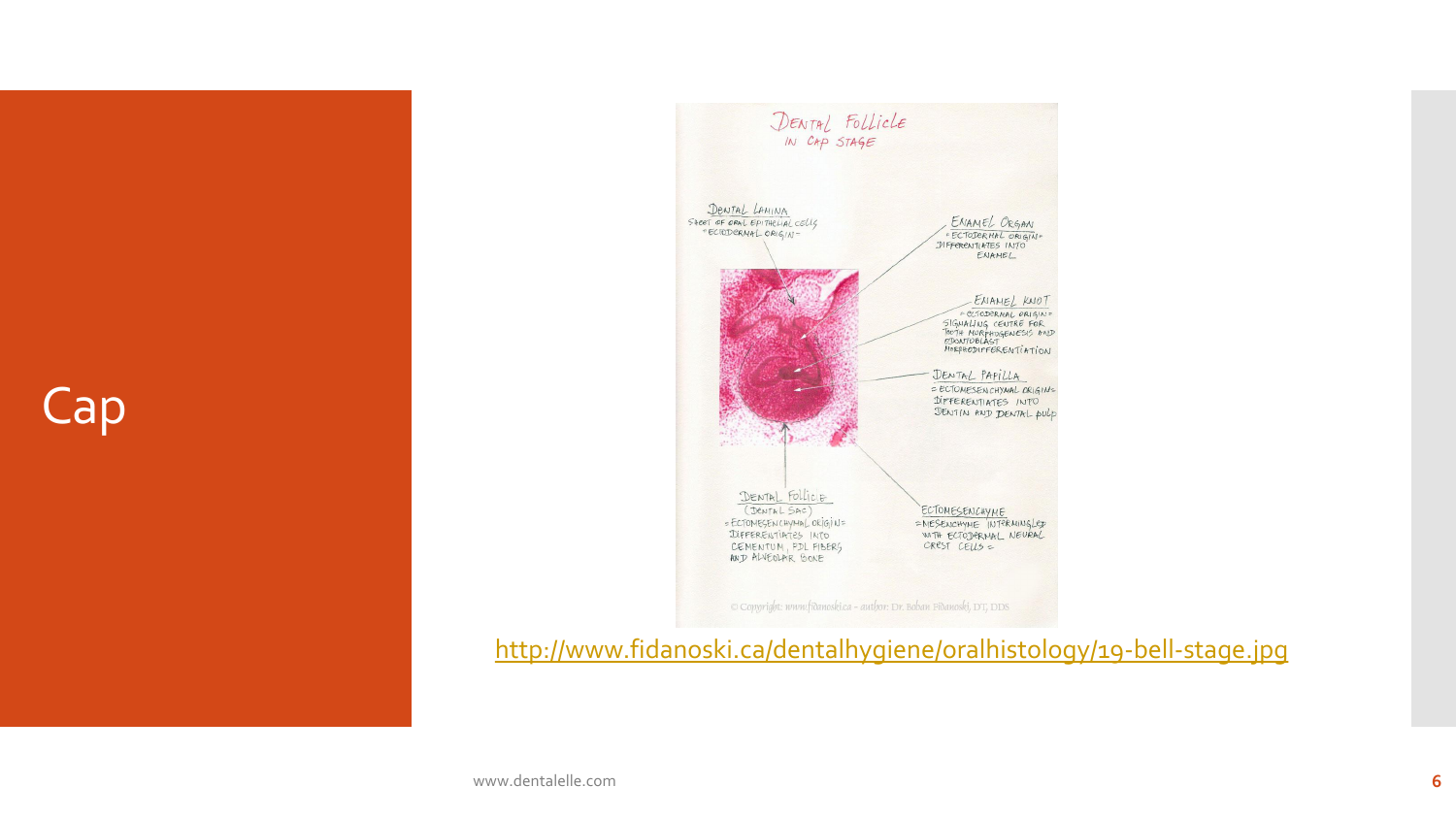Cap



#### <http://www.fidanoski.ca/dentalhygiene/oralhistology/19-bell-stage.jpg>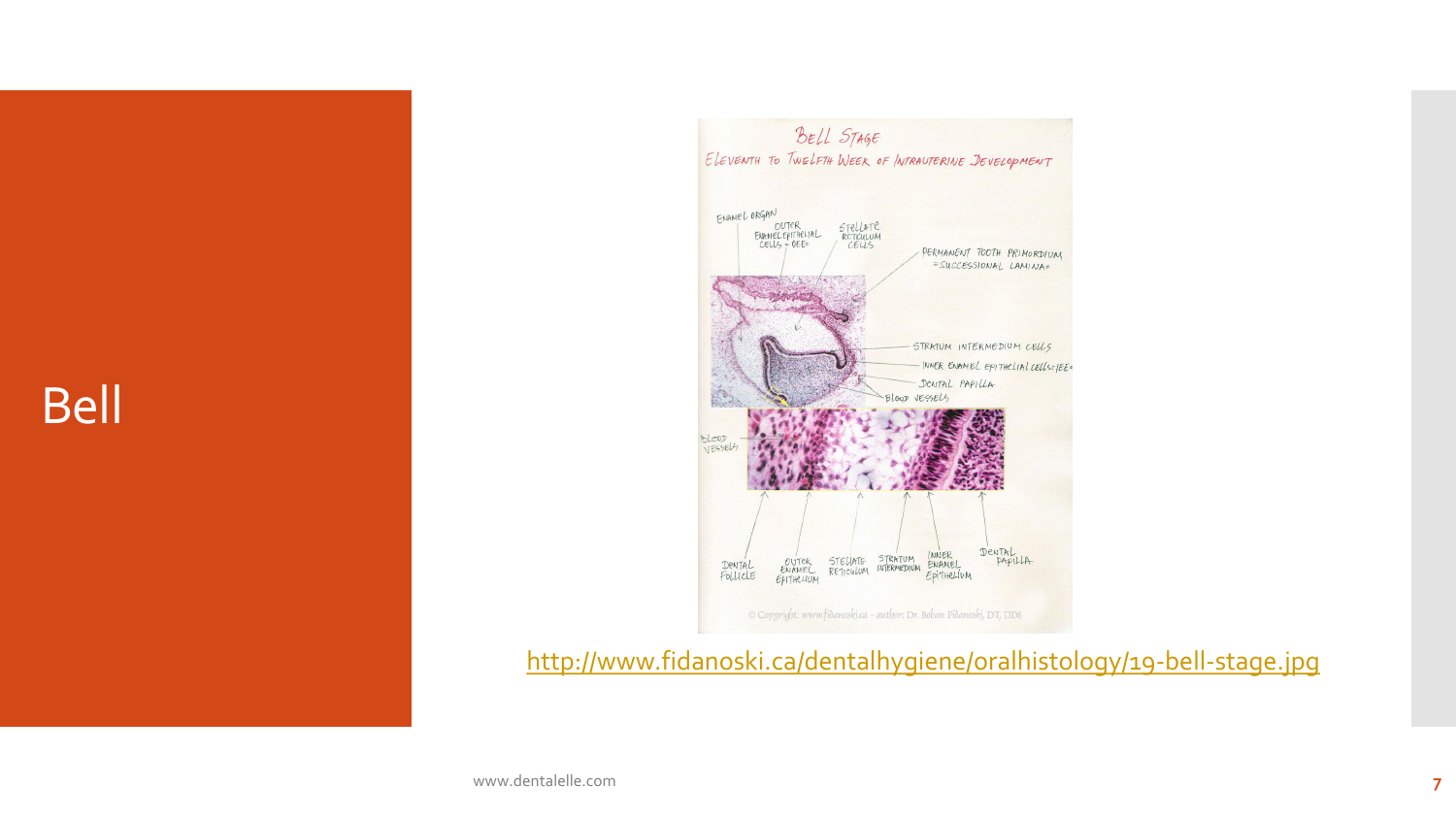Bell



<http://www.fidanoski.ca/dentalhygiene/oralhistology/19-bell-stage.jpg>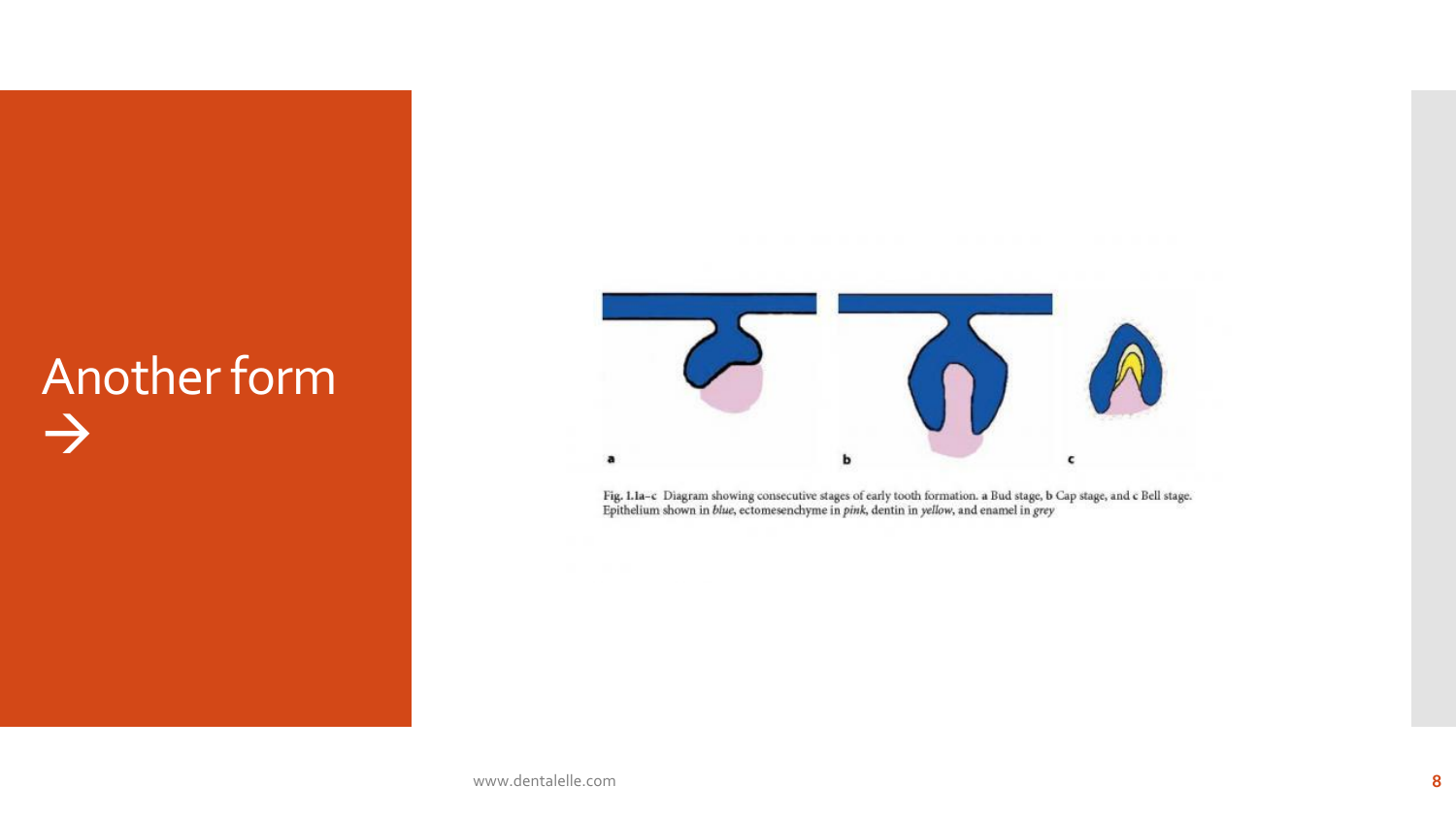# Another form E



Fig. 1.1a-c Diagram showing consecutive stages of early tooth formation. a Bud stage, b Cap stage, and c Bell stage.<br>Epithelium shown in *blue*, ectomesenchyme in *pink*, dentin in *yellow*, and enamel in *grey*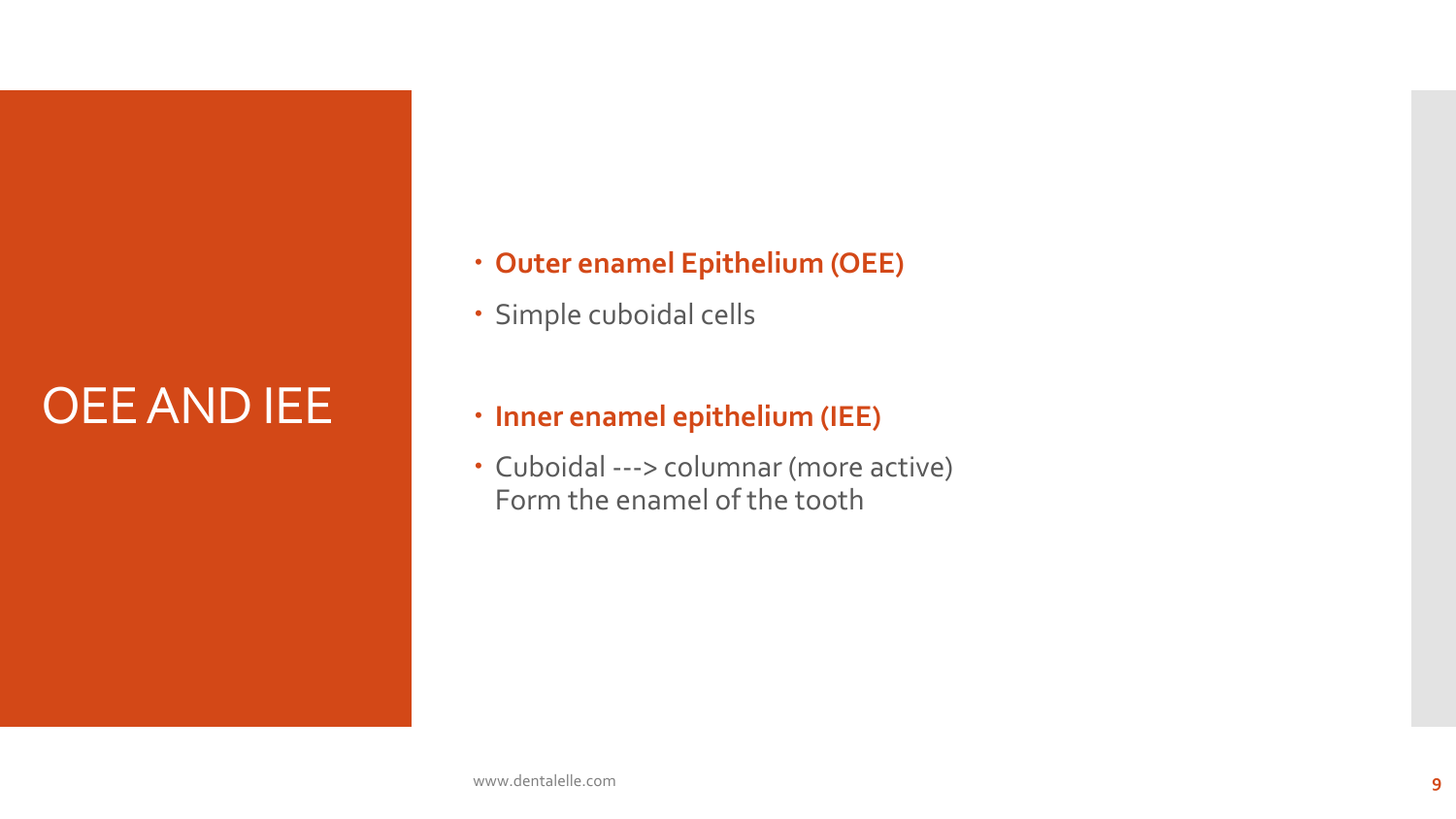# OEE AND IEE

- **Outer enamel Epithelium (OEE)**
- Simple cuboidal cells

#### **Inner enamel epithelium (IEE)**

 Cuboidal ---> columnar (more active) Form the enamel of the tooth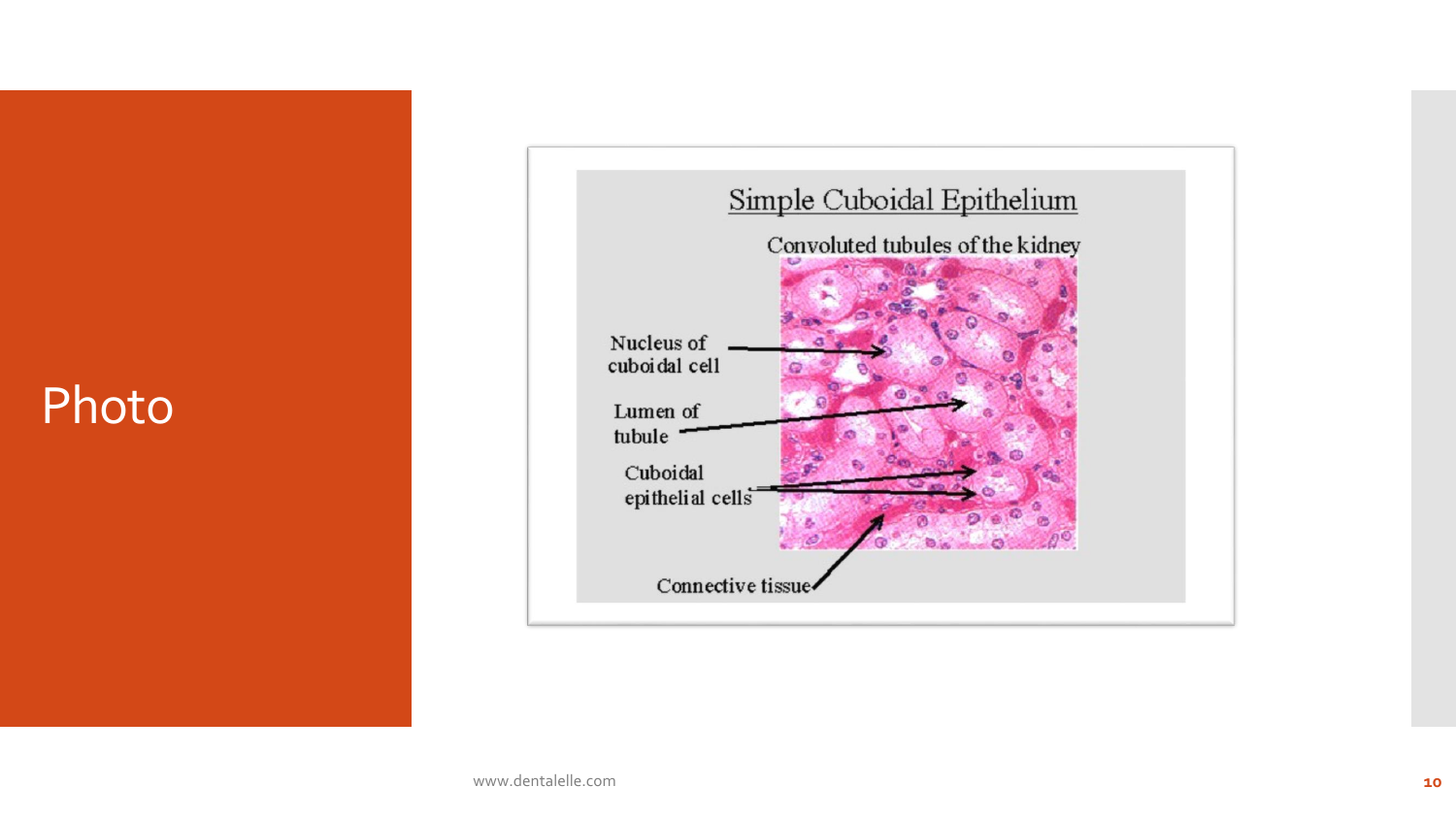### Photo

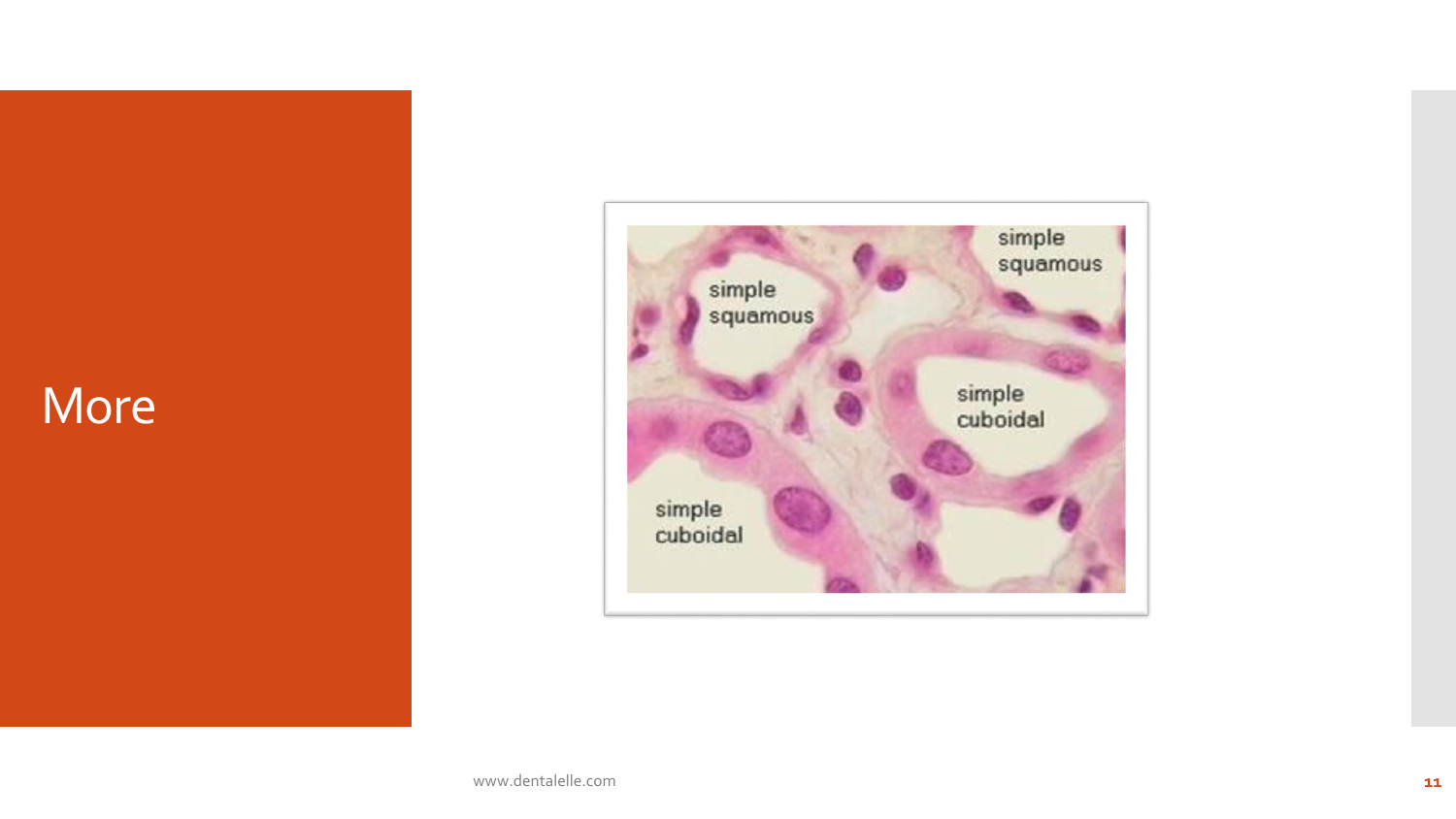#### More

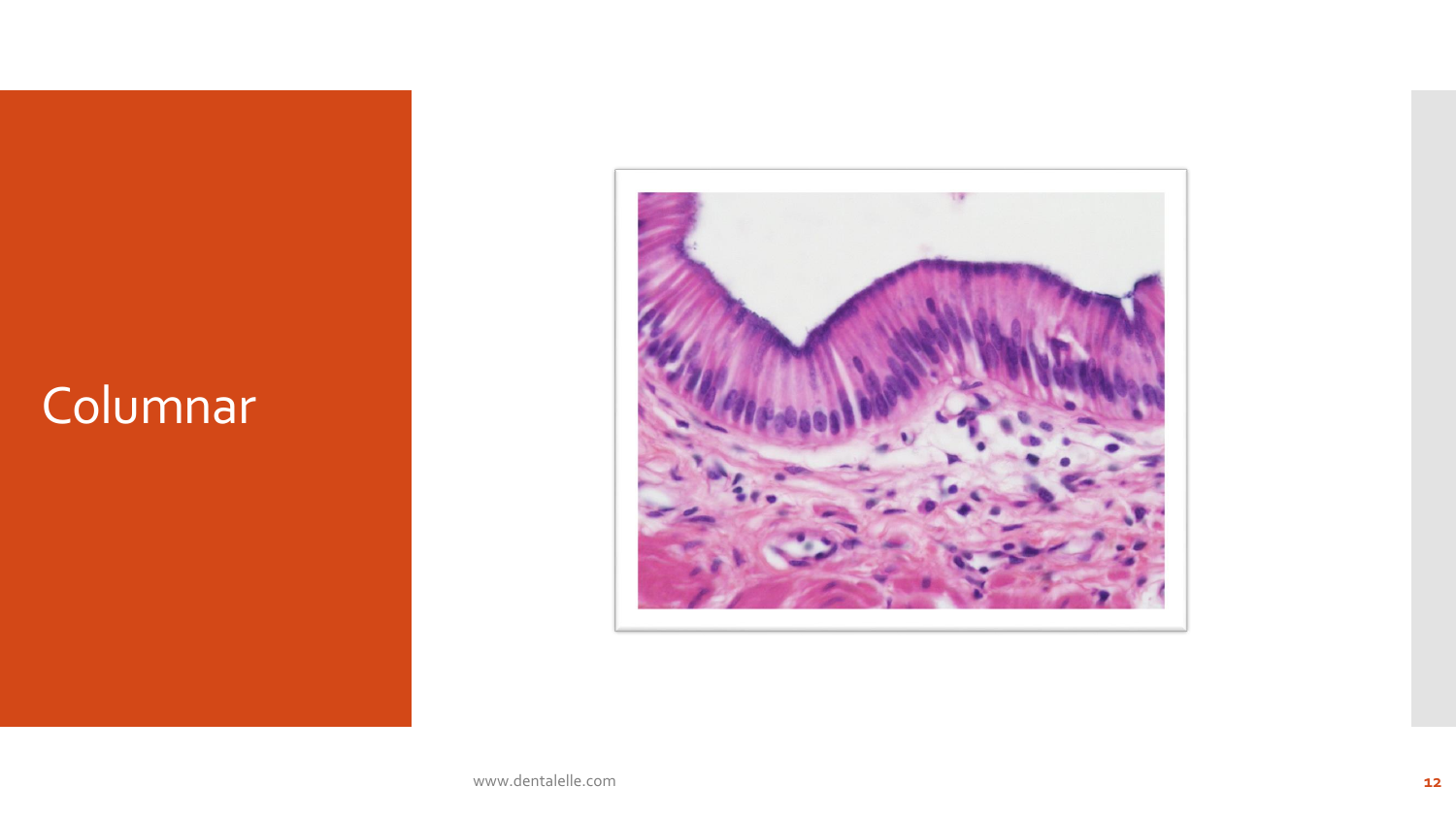# Columnar

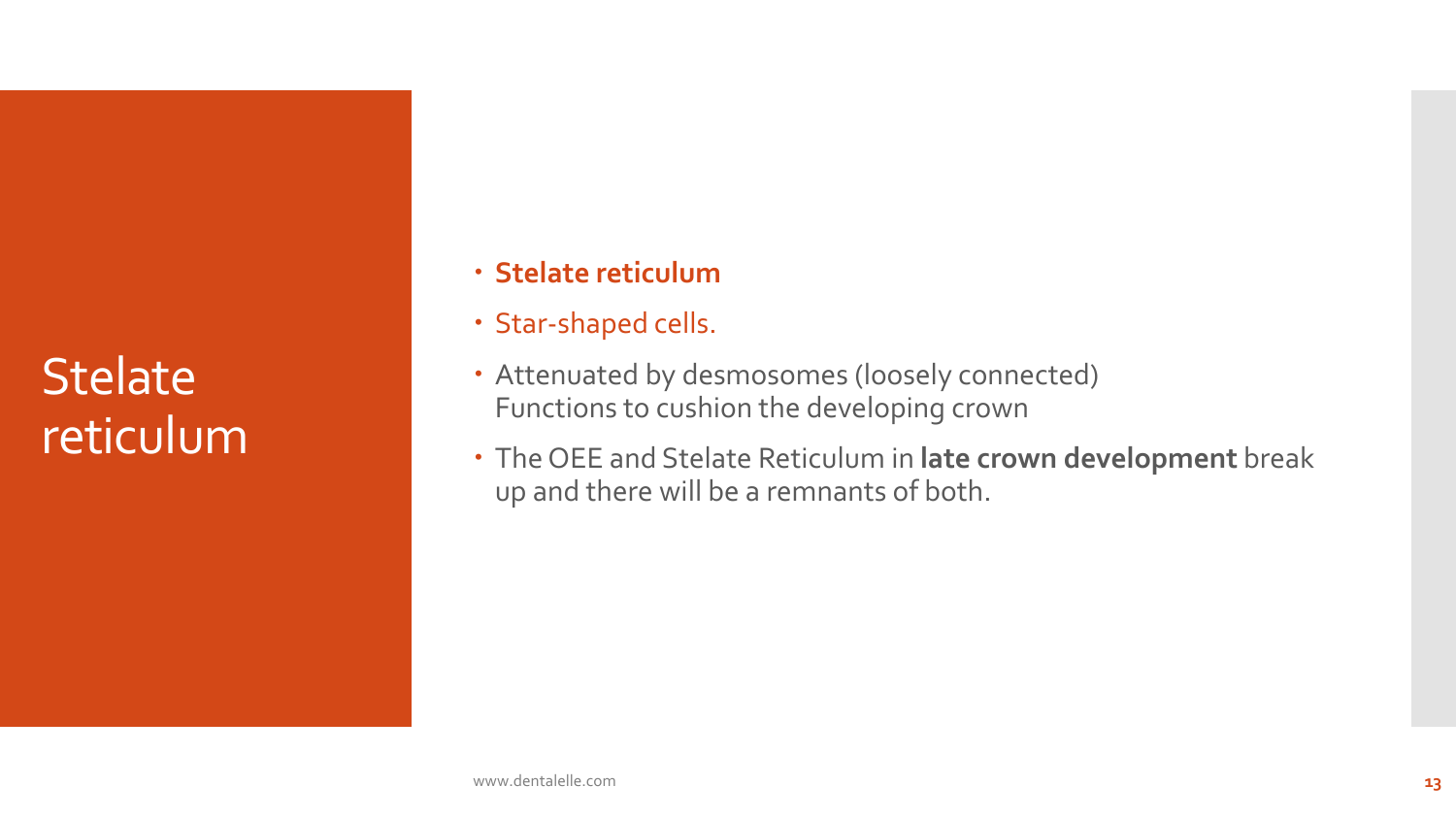**Stelate** reticulum

- **Stelate reticulum**
- Star-shaped cells.
- Attenuated by desmosomes (loosely connected) Functions to cushion the developing crown
- The OEE and Stelate Reticulum in **late crown development** break up and there will be a remnants of both.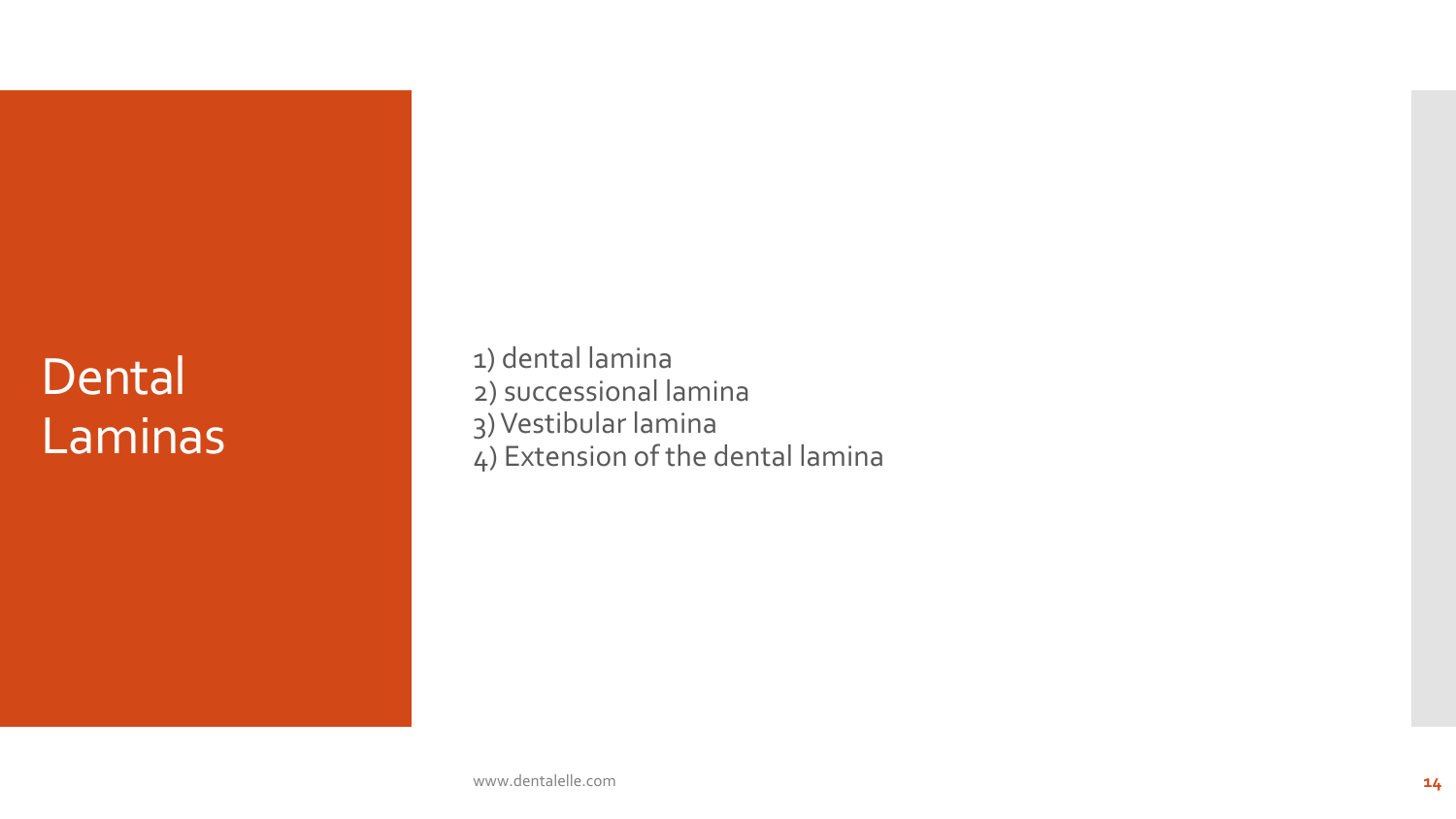# Dental Laminas

1) dental lamina 2) successional lamina 3) Vestibular lamina 4) Extension of the dental lamina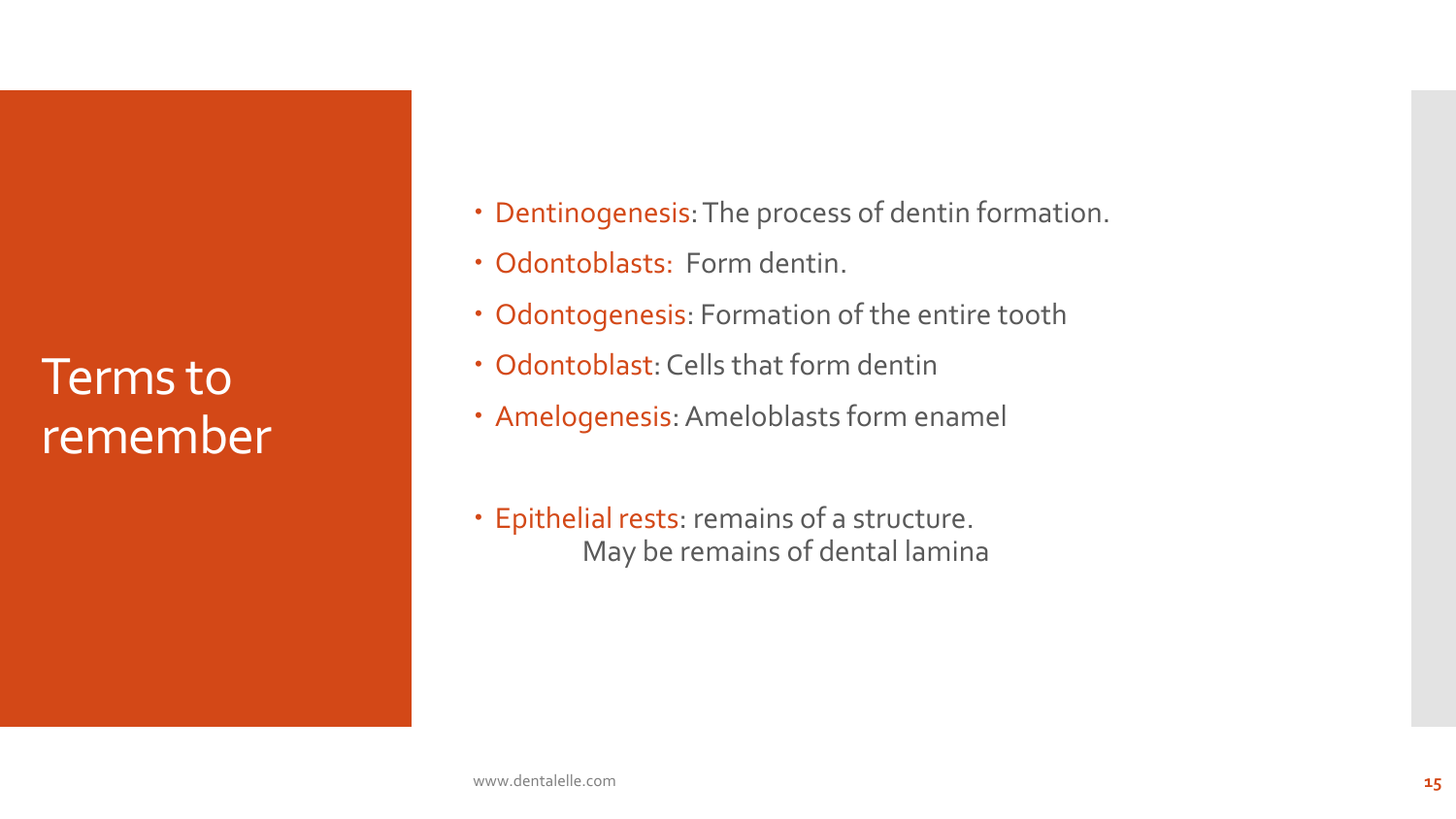Terms to remember

- Dentinogenesis: The process of dentin formation.
- Odontoblasts: Form dentin.
- Odontogenesis: Formation of the entire tooth
- Odontoblast: Cells that form dentin
- Amelogenesis: Ameloblasts form enamel
- Epithelial rests: remains of a structure. May be remains of dental lamina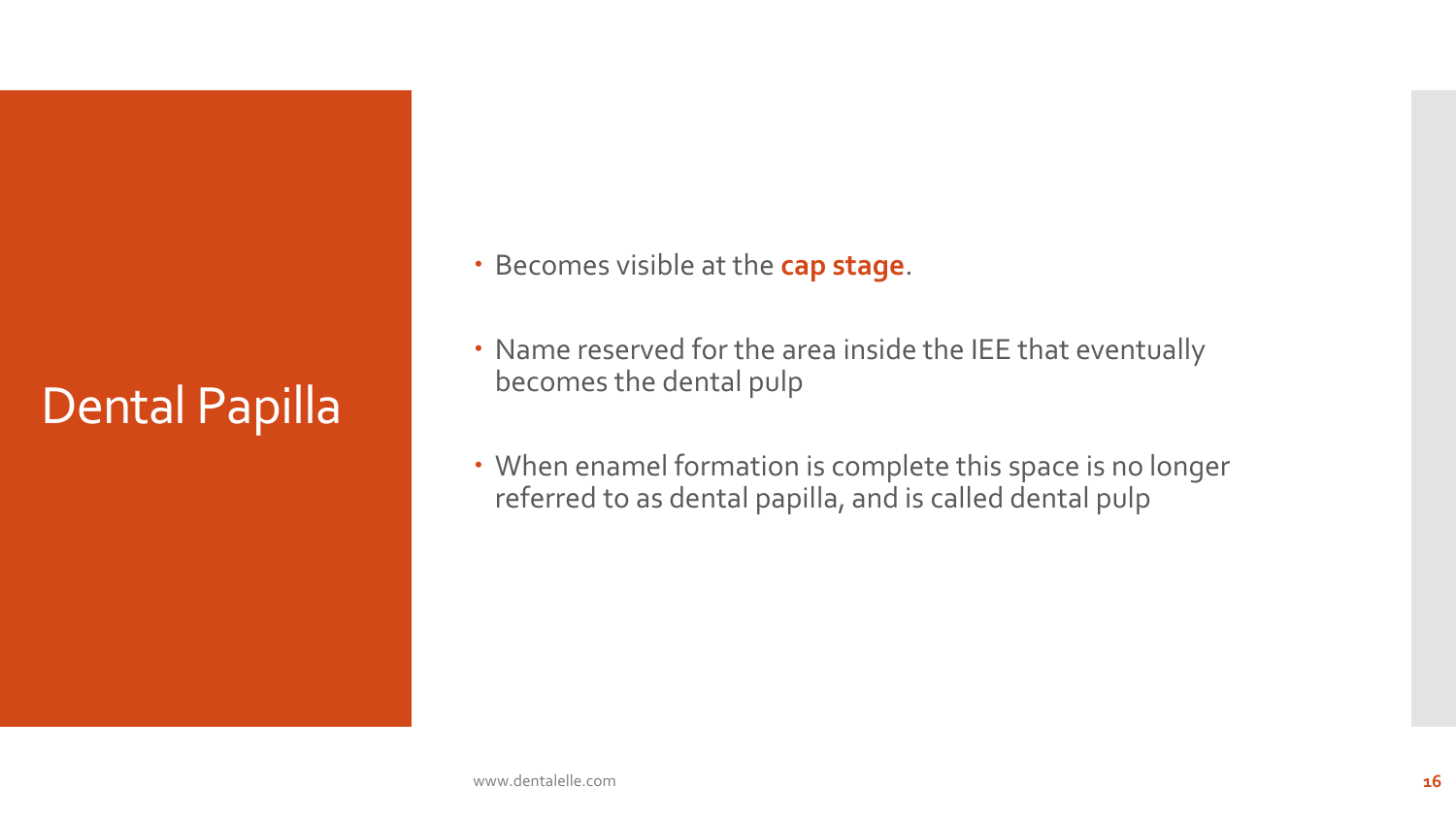# Dental Papilla

- **Becomes visible at the cap stage.**
- Name reserved for the area inside the IEE that eventually becomes the dental pulp
- When enamel formation is complete this space is no longer referred to as dental papilla, and is called dental pulp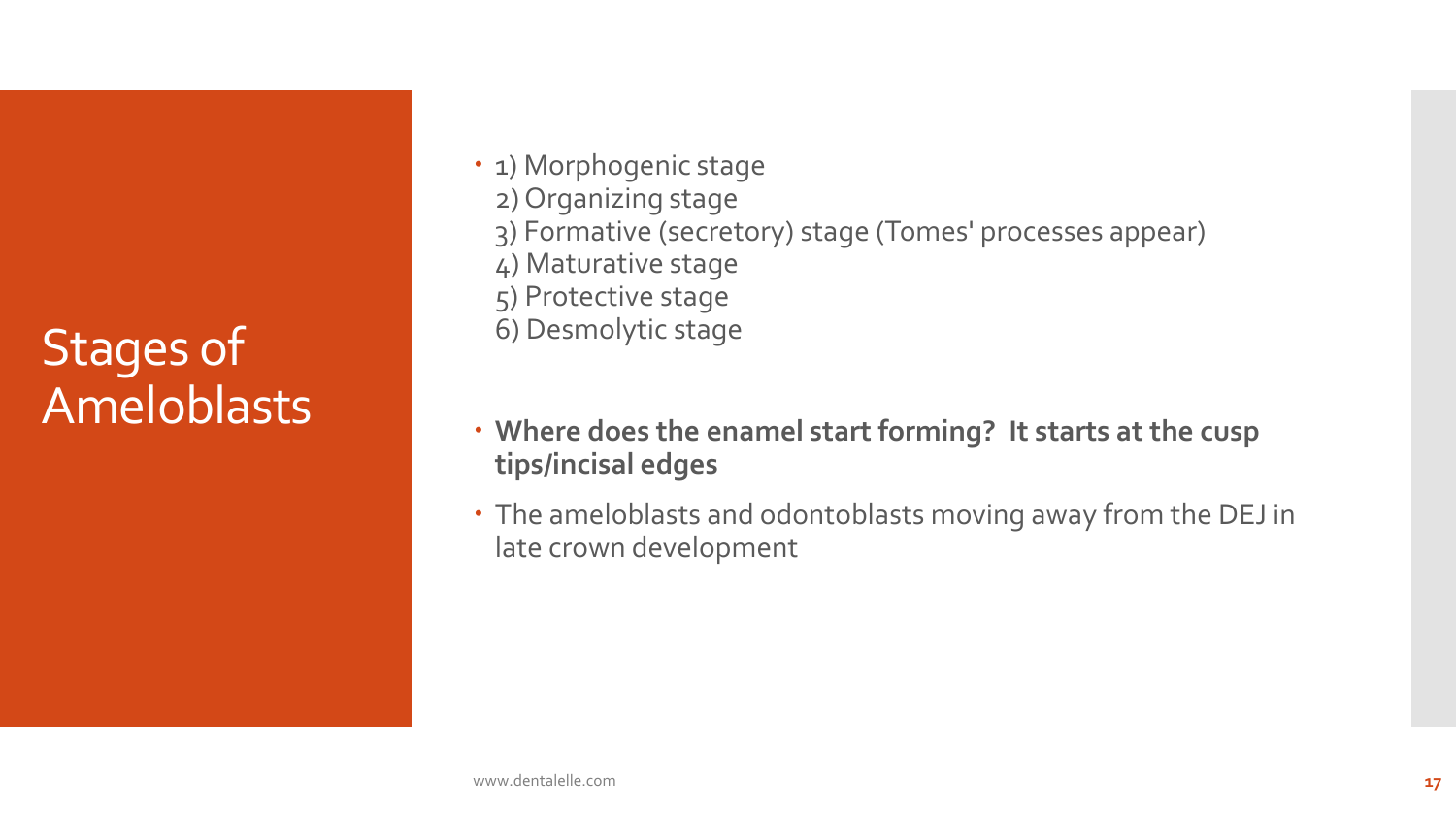# Stages of Ameloblasts

- 1) Morphogenic stage 2) Organizing stage 3) Formative (secretory) stage (Tomes' processes appear) 4) Maturative stage 5) Protective stage 6) Desmolytic stage
- **Where does the enamel start forming? It starts at the cusp tips/incisal edges**
- The ameloblasts and odontoblasts moving away from the DEJ in late crown development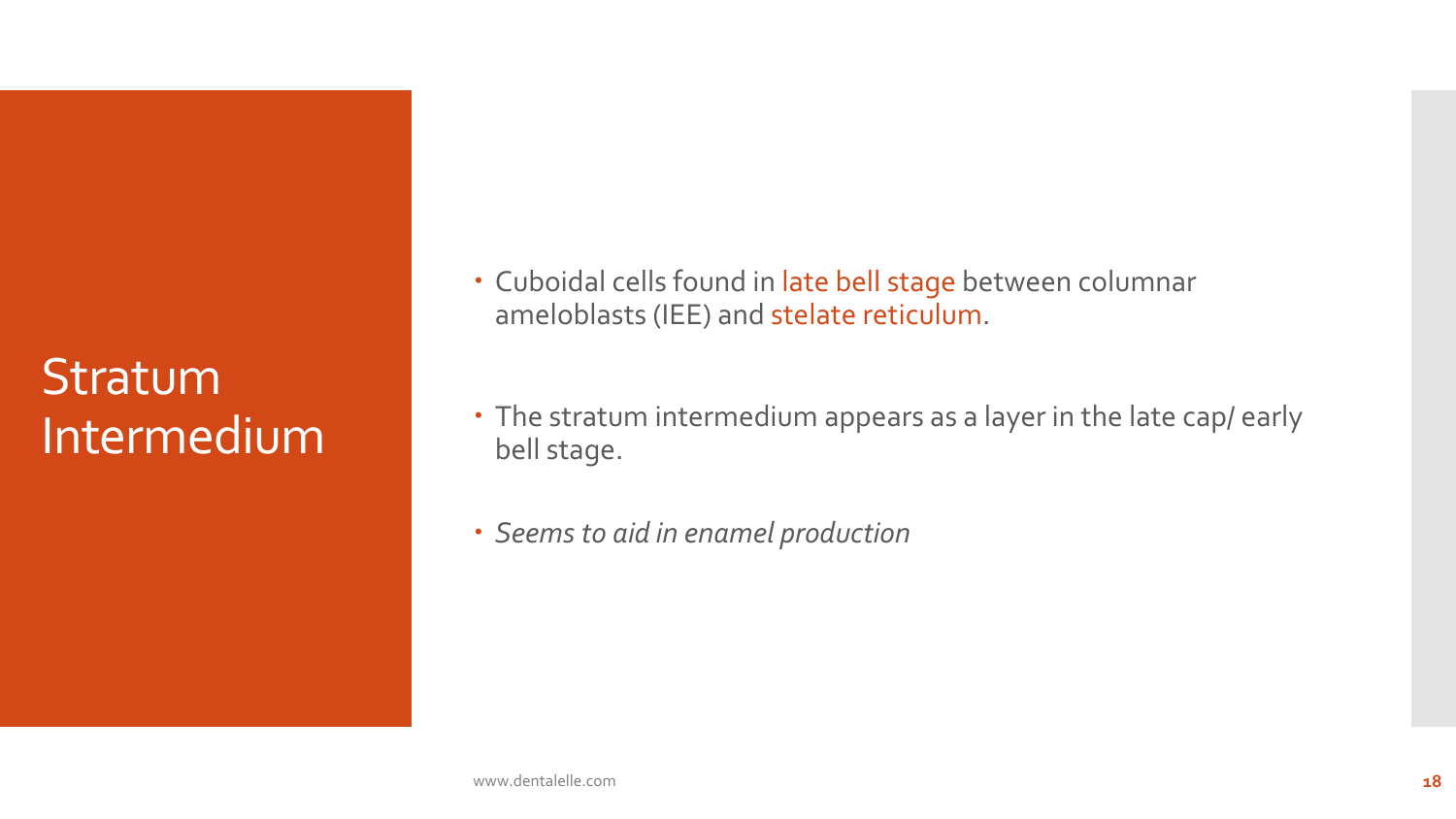# Stratum Intermedium

- Cuboidal cells found in late bell stage between columnar ameloblasts (IEE) and stelate reticulum.
- The stratum intermedium appears as a layer in the late cap/ early bell stage.
- *Seems to aid in enamel production*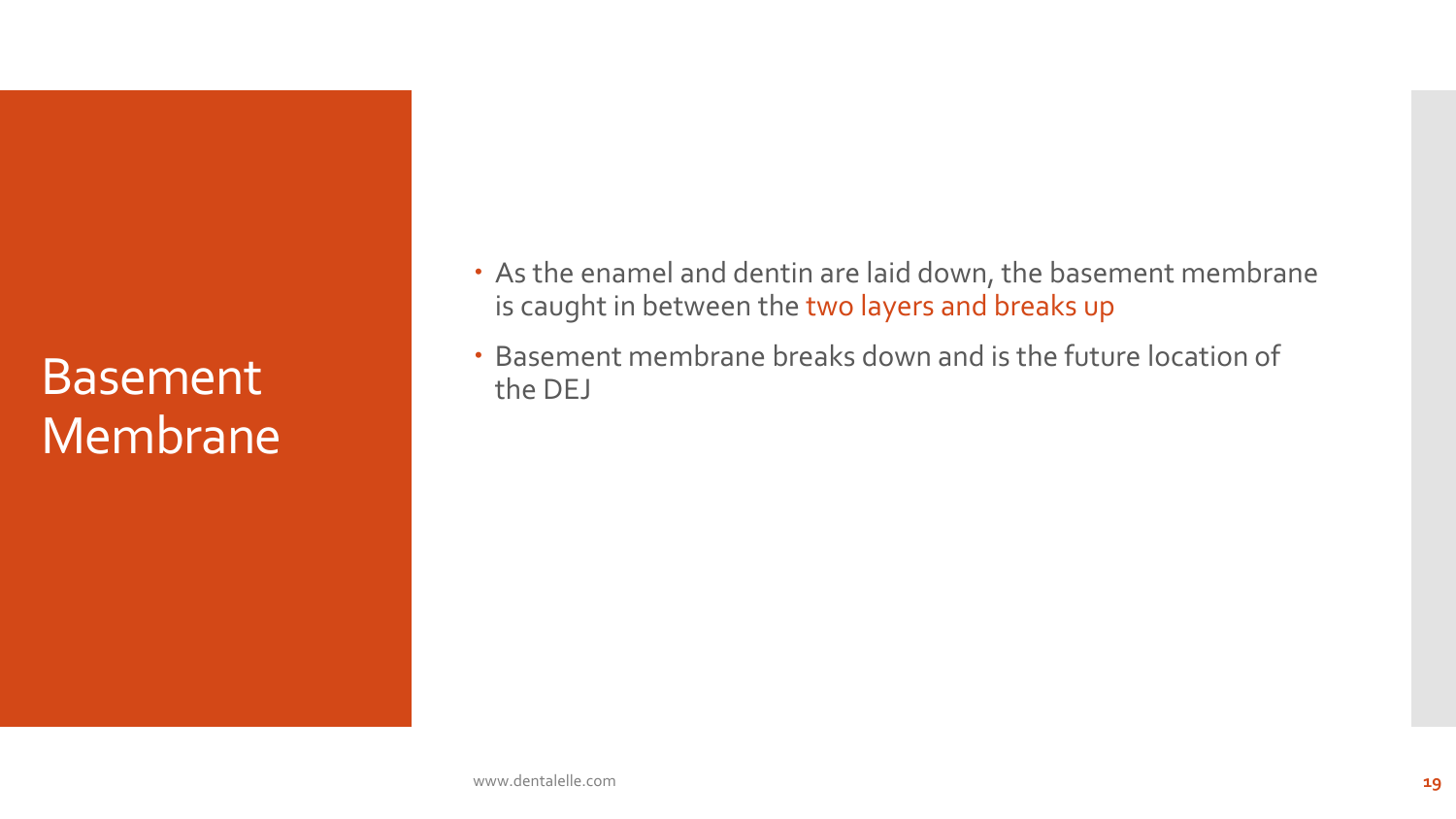## Basement Membrane

- As the enamel and dentin are laid down, the basement membrane is caught in between the two layers and breaks up
- Basement membrane breaks down and is the future location of the DEJ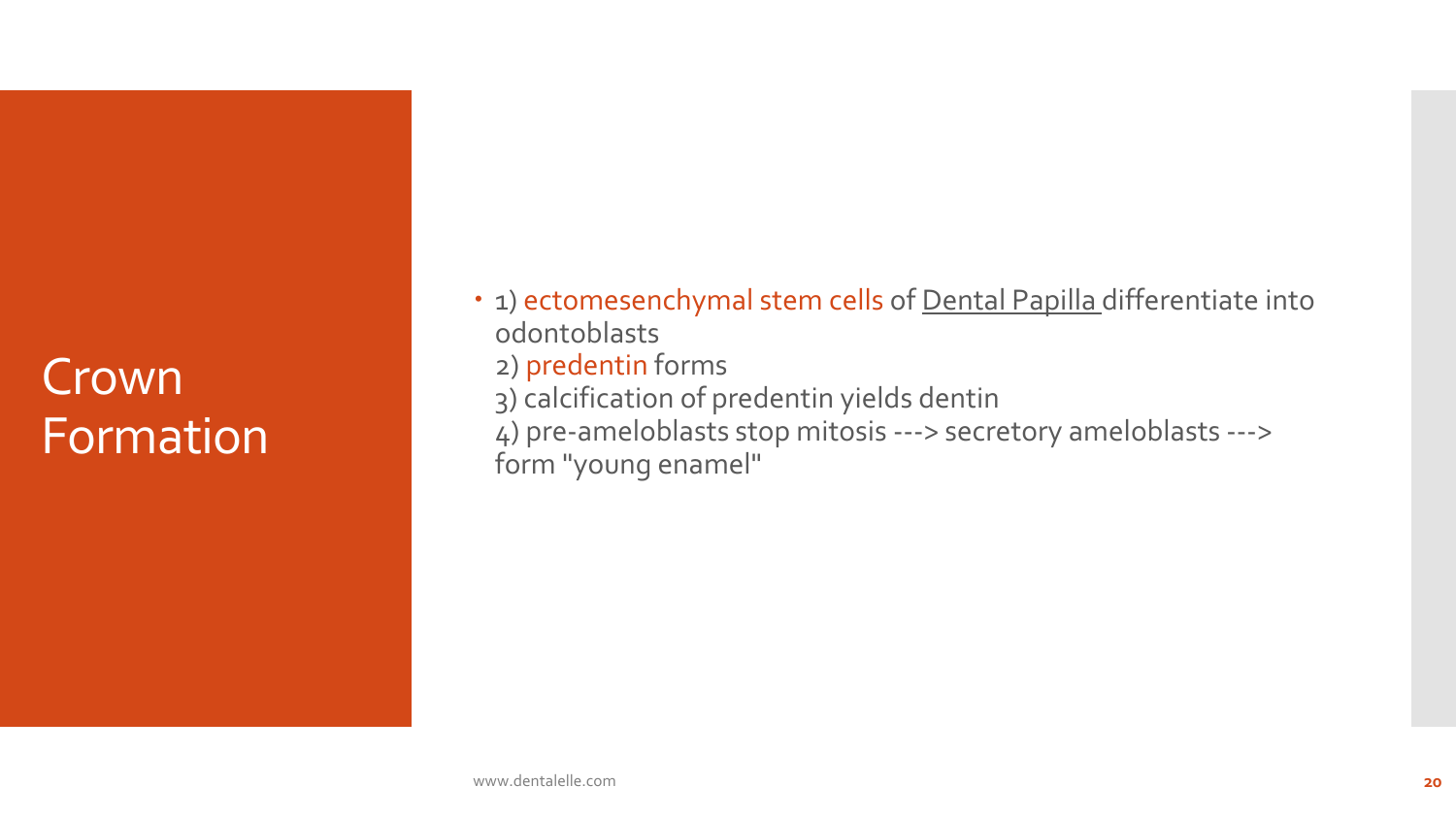# Crown Formation

• 1) ectomesenchymal stem cells of Dental Papilla differentiate into odontoblasts 2) predentin forms 3) calcification of predentin yields dentin 4) pre-ameloblasts stop mitosis ---> secretory ameloblasts ---> form "young enamel"